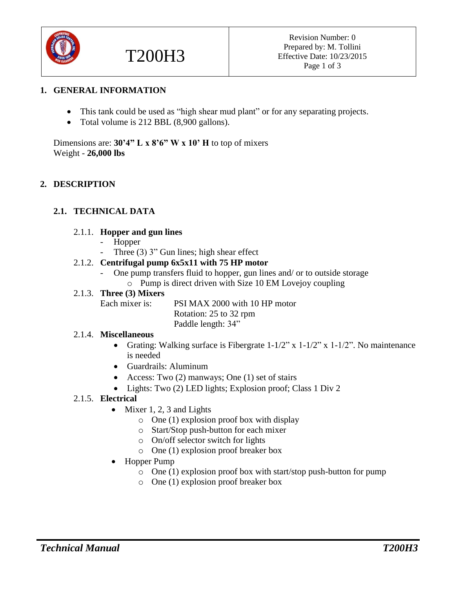

T200H3

## **1. GENERAL INFORMATION**

- This tank could be used as "high shear mud plant" or for any separating projects.
- Total volume is 212 BBL (8,900 gallons).

Dimensions are: **30'4" L x 8'6" W x 10' H** to top of mixers Weight - **26,000 lbs**

# **2. DESCRIPTION**

## **2.1. TECHNICAL DATA**

#### 2.1.1. **Hopper and gun lines**

- Hopper
- Three  $(3)$  3" Gun lines; high shear effect

## 2.1.2. **Centrifugal pump 6x5x11 with 75 HP motor**

- One pump transfers fluid to hopper, gun lines and/ or to outside storage
	- o Pump is direct driven with Size 10 EM Lovejoy coupling

# 2.1.3. **Three (3) Mixers**

Each mixer is: PSI MAX 2000 with 10 HP motor Rotation: 25 to 32 rpm Paddle length: 34"

#### 2.1.4. **Miscellaneous**

- Grating: Walking surface is Fibergrate  $1-1/2$ " x  $1-1/2$ " x  $1-1/2$ ". No maintenance is needed
- Guardrails: Aluminum
- Access: Two (2) manways; One (1) set of stairs
- Lights: Two (2) LED lights; Explosion proof; Class 1 Div 2

## 2.1.5. **Electrical**

- $\bullet$  Mixer 1, 2, 3 and Lights
	- o One (1) explosion proof box with display
	- o Start/Stop push-button for each mixer
	- o On/off selector switch for lights
	- o One (1) explosion proof breaker box
- Hopper Pump
	- o One (1) explosion proof box with start/stop push-button for pump
	- o One (1) explosion proof breaker box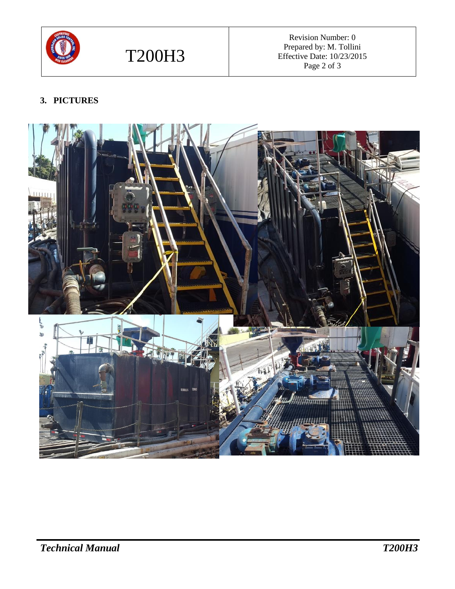

Revision Number: 0 Prepared by: M. Tollini Effective Date: 10/23/2015 Page 2 of 3

# **3. PICTURES**